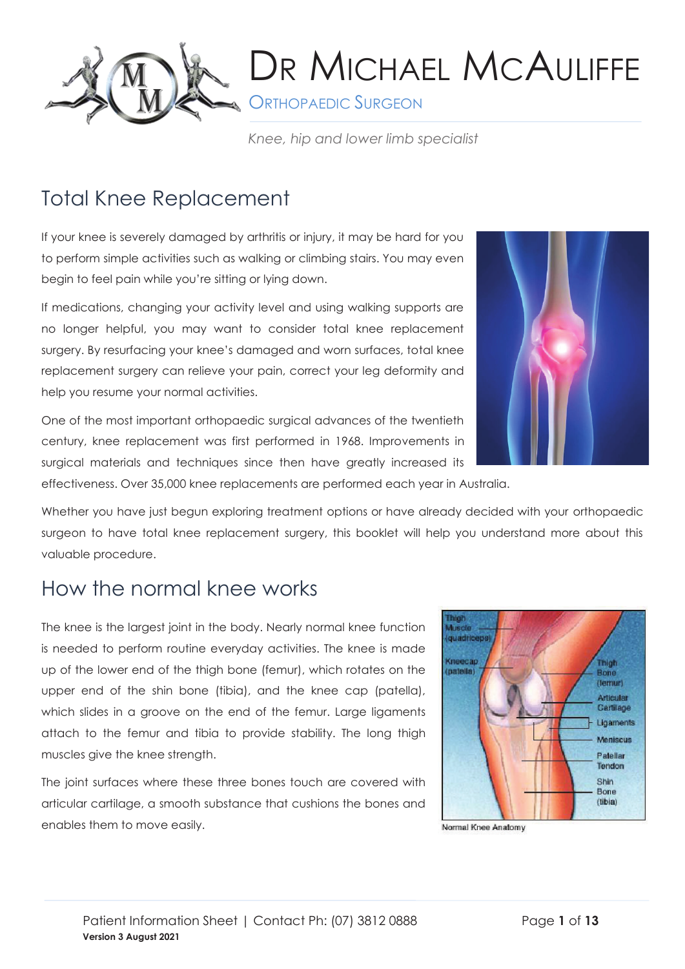

**A ORTHOPAEDIC SURGEON** 

*Knee, hip and lower limb specialist*

## Total Knee Replacement

If your knee is severely damaged by arthritis or injury, it may be hard for you to perform simple activities such as walking or climbing stairs. You may even begin to feel pain while you're sitting or lying down.

If medications, changing your activity level and using walking supports are no longer helpful, you may want to consider total knee replacement surgery. By resurfacing your knee's damaged and worn surfaces, total knee replacement surgery can relieve your pain, correct your leg deformity and help you resume your normal activities.

One of the most important orthopaedic surgical advances of the twentieth century, knee replacement was first performed in 1968. Improvements in surgical materials and techniques since then have greatly increased its effectiveness. Over 35,000 knee replacements are performed each year in Australia.

Whether you have just begun exploring treatment options or have already decided with your orthopaedic surgeon to have total knee replacement surgery, this booklet will help you understand more about this valuable procedure.

### How the normal knee works

The knee is the largest joint in the body. Nearly normal knee function is needed to perform routine everyday activities. The knee is made up of the lower end of the thigh bone (femur), which rotates on the upper end of the shin bone (tibia), and the knee cap (patella), which slides in a groove on the end of the femur. Large ligaments attach to the femur and tibia to provide stability. The long thigh muscles give the knee strength.

The joint surfaces where these three bones touch are covered with articular cartilage, a smooth substance that cushions the bones and enables them to move easily.



Normal Knee Anatomy

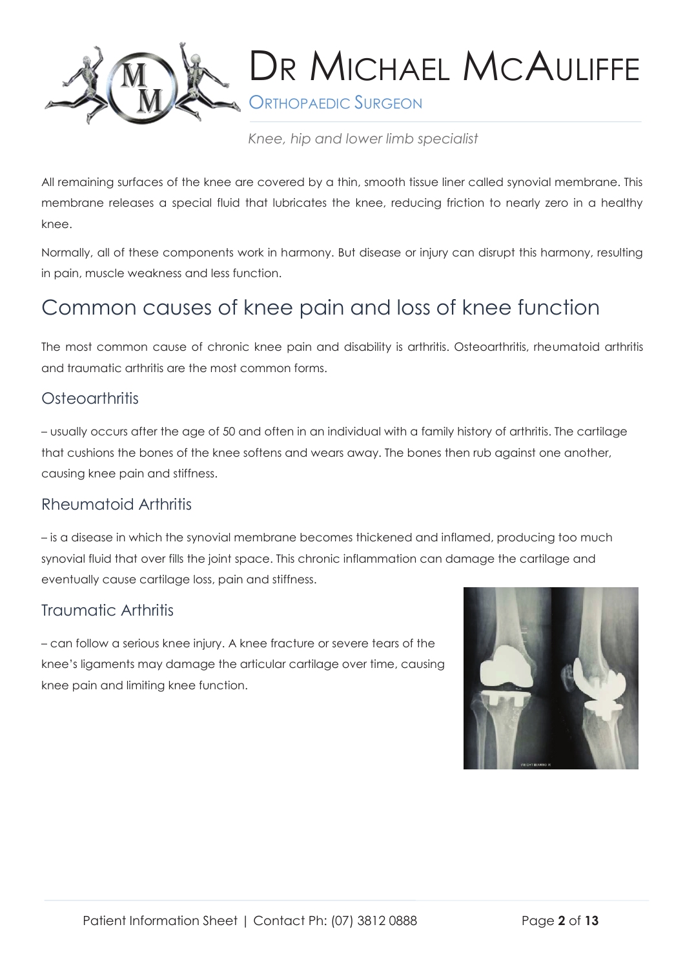

**S** ORTHOPAEDIC SURGEON

*Knee, hip and lower limb specialist*

All remaining surfaces of the knee are covered by a thin, smooth tissue liner called synovial membrane. This membrane releases a special fluid that lubricates the knee, reducing friction to nearly zero in a healthy knee.

Normally, all of these components work in harmony. But disease or injury can disrupt this harmony, resulting in pain, muscle weakness and less function.

## Common causes of knee pain and loss of knee function

The most common cause of chronic knee pain and disability is arthritis. Osteoarthritis, rheumatoid arthritis and traumatic arthritis are the most common forms.

### Osteoarthritis

– usually occurs after the age of 50 and often in an individual with a family history of arthritis. The cartilage that cushions the bones of the knee softens and wears away. The bones then rub against one another, causing knee pain and stiffness.

### Rheumatoid Arthritis

– is a disease in which the synovial membrane becomes thickened and inflamed, producing too much synovial fluid that over fills the joint space. This chronic inflammation can damage the cartilage and eventually cause cartilage loss, pain and stiffness.

### Traumatic Arthritis

– can follow a serious knee injury. A knee fracture or severe tears of the knee's ligaments may damage the articular cartilage over time, causing knee pain and limiting knee function.

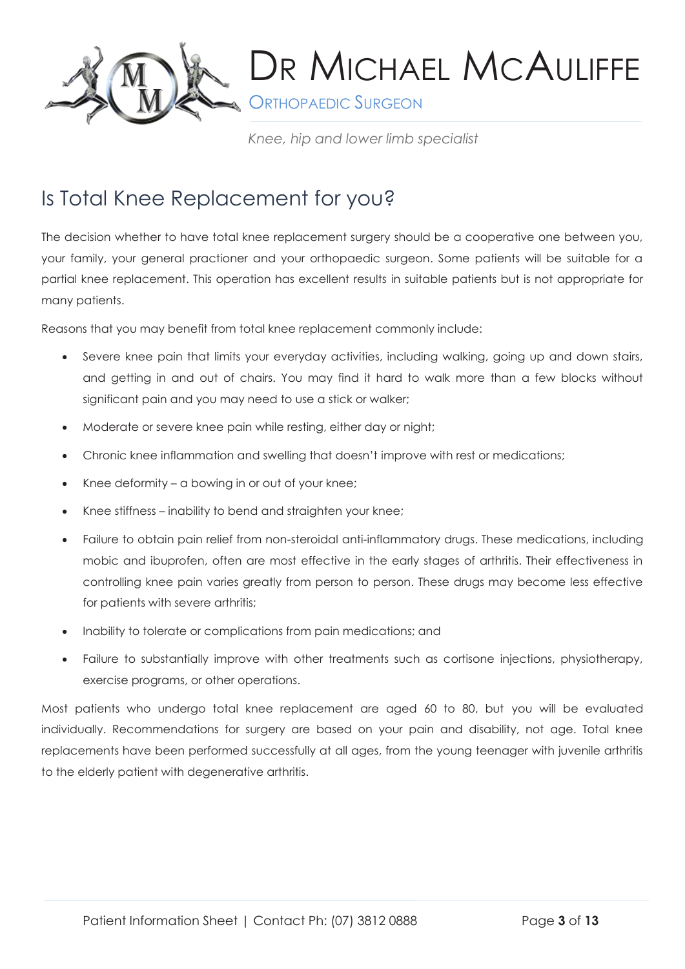

**SORTHOPAEDIC SURGEON** 

*Knee, hip and lower limb specialist*

## Is Total Knee Replacement for you?

The decision whether to have total knee replacement surgery should be a cooperative one between you, your family, your general practioner and your orthopaedic surgeon. Some patients will be suitable for a partial knee replacement. This operation has excellent results in suitable patients but is not appropriate for many patients.

Reasons that you may benefit from total knee replacement commonly include:

- Severe knee pain that limits your everyday activities, including walking, going up and down stairs, and getting in and out of chairs. You may find it hard to walk more than a few blocks without significant pain and you may need to use a stick or walker;
- Moderate or severe knee pain while resting, either day or night;
- Chronic knee inflammation and swelling that doesn't improve with rest or medications;
- Knee deformity a bowing in or out of your knee;
- Knee stiffness inability to bend and straighten your knee;
- Failure to obtain pain relief from non-steroidal anti-inflammatory drugs. These medications, including mobic and ibuprofen, often are most effective in the early stages of arthritis. Their effectiveness in controlling knee pain varies greatly from person to person. These drugs may become less effective for patients with severe arthritis;
- Inability to tolerate or complications from pain medications; and
- Failure to substantially improve with other treatments such as cortisone injections, physiotherapy, exercise programs, or other operations.

Most patients who undergo total knee replacement are aged 60 to 80, but you will be evaluated individually. Recommendations for surgery are based on your pain and disability, not age. Total knee replacements have been performed successfully at all ages, from the young teenager with juvenile arthritis to the elderly patient with degenerative arthritis.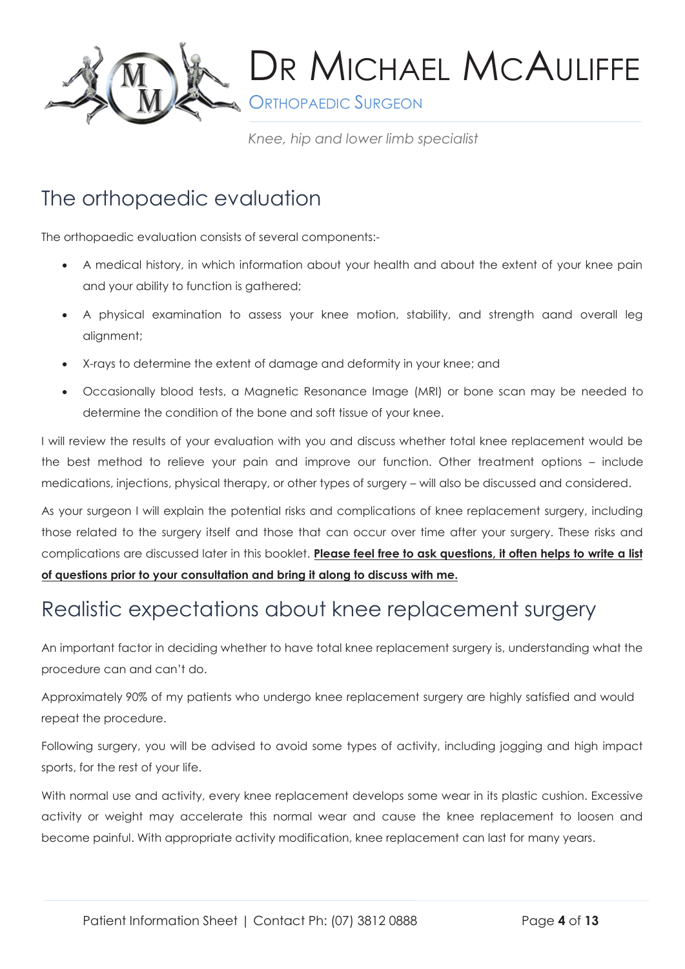

**ORTHOPAEDIC SURGEON** 

*Knee, hip and lower limb specialist*

## The orthopaedic evaluation

The orthopaedic evaluation consists of several components:-

- A medical history, in which information about your health and about the extent of your knee pain and your ability to function is gathered;
- A physical examination to assess your knee motion, stability, and strength aand overall leg alignment;
- X-rays to determine the extent of damage and deformity in your knee; and
- Occasionally blood tests, a Magnetic Resonance Image (MRI) or bone scan may be needed to determine the condition of the bone and soft tissue of your knee.

I will review the results of your evaluation with you and discuss whether total knee replacement would be the best method to relieve your pain and improve our function. Other treatment options – include medications, injections, physical therapy, or other types of surgery – will also be discussed and considered.

As your surgeon I will explain the potential risks and complications of knee replacement surgery, including those related to the surgery itself and those that can occur over time after your surgery. These risks and complications are discussed later in this booklet. **Please feel free to ask questions, it often helps to write a list of questions prior to your consultation and bring it along to discuss with me.**

### Realistic expectations about knee replacement surgery

An important factor in deciding whether to have total knee replacement surgery is, understanding what the procedure can and can't do.

Approximately 90% of my patients who undergo knee replacement surgery are highly satisfied and would repeat the procedure.

Following surgery, you will be advised to avoid some types of activity, including jogging and high impact sports, for the rest of your life.

With normal use and activity, every knee replacement develops some wear in its plastic cushion. Excessive activity or weight may accelerate this normal wear and cause the knee replacement to loosen and become painful. With appropriate activity modification, knee replacement can last for many years.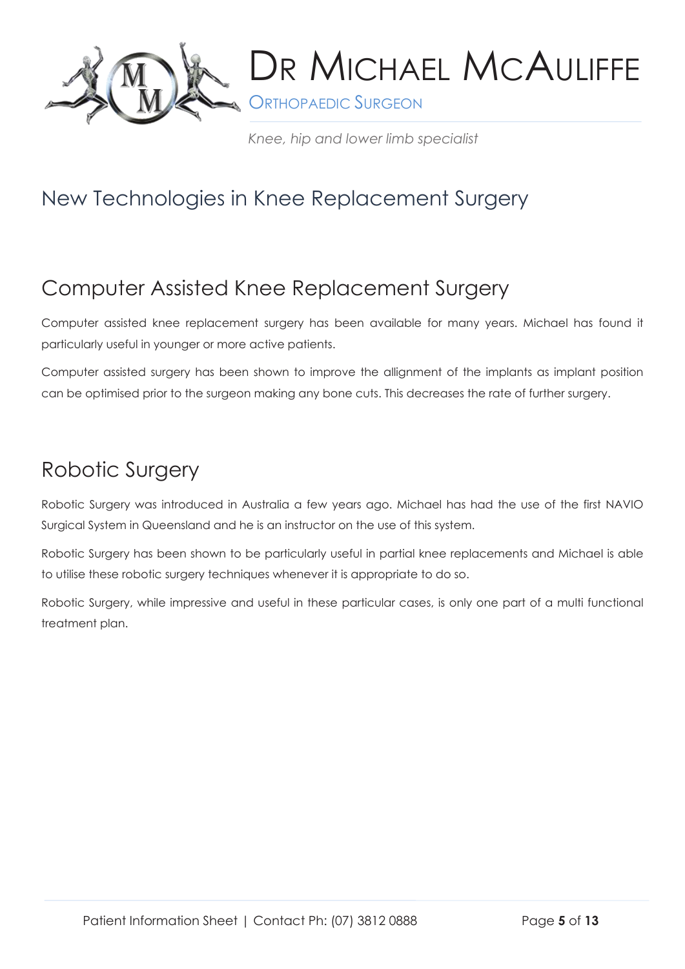

**S** ORTHOPAEDIC SURGEON

*Knee, hip and lower limb specialist*

## New Technologies in Knee Replacement Surgery

### Computer Assisted Knee Replacement Surgery

Computer assisted knee replacement surgery has been available for many years. Michael has found it particularly useful in younger or more active patients.

Computer assisted surgery has been shown to improve the allignment of the implants as implant position can be optimised prior to the surgeon making any bone cuts. This decreases the rate of further surgery.

### Robotic Surgery

Robotic Surgery was introduced in Australia a few years ago. Michael has had the use of the first NAVIO Surgical System in Queensland and he is an instructor on the use of this system.

Robotic Surgery has been shown to be particularly useful in partial knee replacements and Michael is able to utilise these robotic surgery techniques whenever it is appropriate to do so.

Robotic Surgery, while impressive and useful in these particular cases, is only one part of a multi functional treatment plan.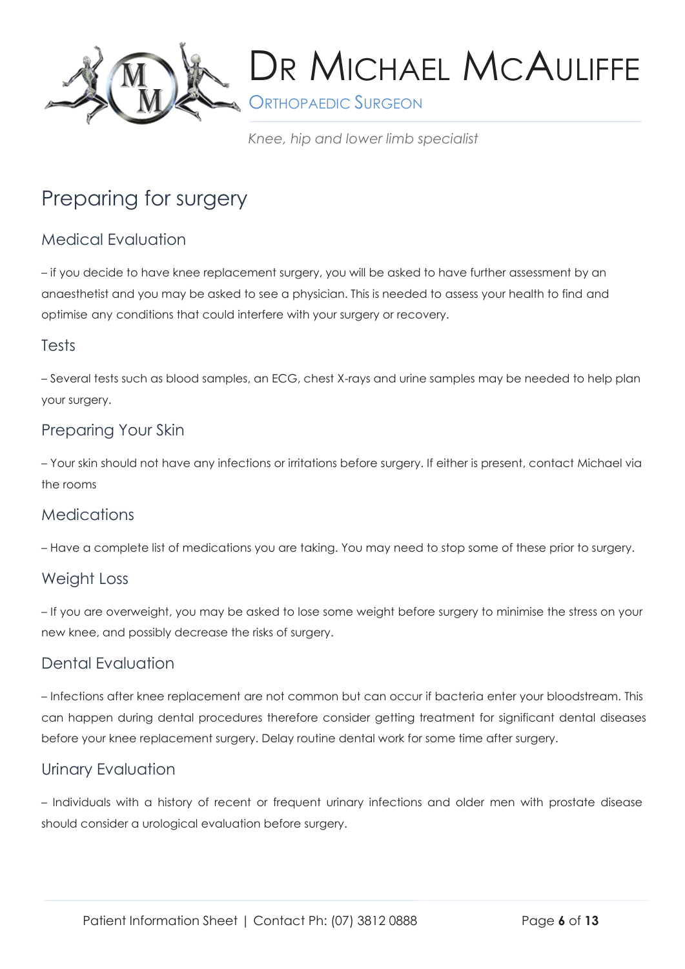

**SAN ORTHOPAEDIC SURGEON** 

*Knee, hip and lower limb specialist*

## Preparing for surgery

### Medical Evaluation

– if you decide to have knee replacement surgery, you will be asked to have further assessment by an anaesthetist and you may be asked to see a physician. This is needed to assess your health to find and optimise any conditions that could interfere with your surgery or recovery.

### Tests

– Several tests such as blood samples, an ECG, chest X-rays and urine samples may be needed to help plan your surgery.

### Preparing Your Skin

– Your skin should not have any infections or irritations before surgery. If either is present, contact Michael via the rooms

#### **Medications**

– Have a complete list of medications you are taking. You may need to stop some of these prior to surgery.

### Weight Loss

– If you are overweight, you may be asked to lose some weight before surgery to minimise the stress on your new knee, and possibly decrease the risks of surgery.

### Dental Evaluation

– Infections after knee replacement are not common but can occur if bacteria enter your bloodstream. This can happen during dental procedures therefore consider getting treatment for significant dental diseases before your knee replacement surgery. Delay routine dental work for some time after surgery.

### Urinary Evaluation

– Individuals with a history of recent or frequent urinary infections and older men with prostate disease should consider a urological evaluation before surgery.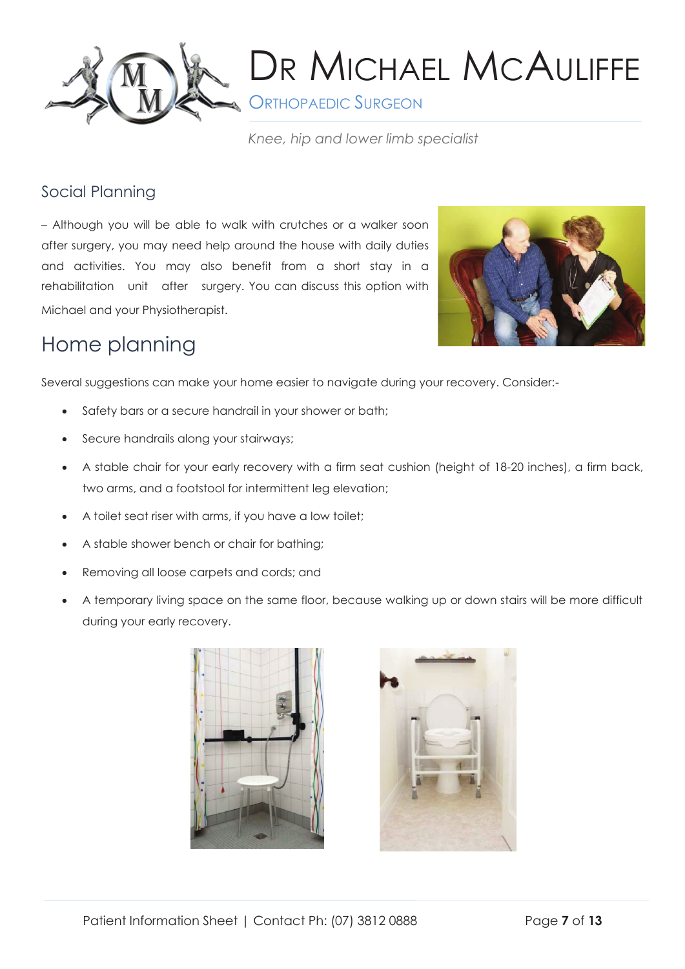

**S** ORTHOPAEDIC SURGEON

*Knee, hip and lower limb specialist*

### Social Planning

– Although you will be able to walk with crutches or a walker soon after surgery, you may need help around the house with daily duties and activities. You may also benefit from a short stay in a rehabilitation unit after surgery. You can discuss this option with Michael and your Physiotherapist.



## Home planning

Several suggestions can make your home easier to navigate during your recovery. Consider:-

- Safety bars or a secure handrail in your shower or bath;
- Secure handrails along your stairways;
- A stable chair for your early recovery with a firm seat cushion (height of 18-20 inches), a firm back, two arms, and a footstool for intermittent leg elevation;
- A toilet seat riser with arms, if you have a low toilet;
- A stable shower bench or chair for bathing;
- Removing all loose carpets and cords; and
- A temporary living space on the same floor, because walking up or down stairs will be more difficult during your early recovery.



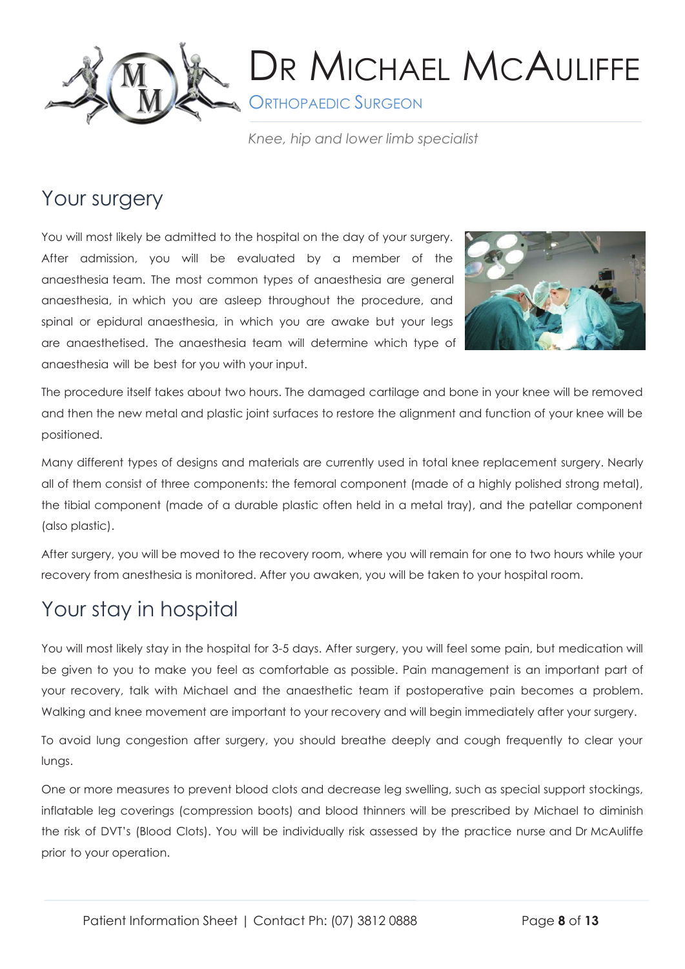

**S** ORTHOPAEDIC SURGEON

*Knee, hip and lower limb specialist*

## Your surgery

You will most likely be admitted to the hospital on the day of your surgery. After admission, you will be evaluated by a member of the anaesthesia team. The most common types of anaesthesia are general anaesthesia, in which you are asleep throughout the procedure, and spinal or epidural anaesthesia, in which you are awake but your legs are anaesthetised. The anaesthesia team will determine which type of anaesthesia will be best for you with your input.



The procedure itself takes about two hours. The damaged cartilage and bone in your knee will be removed and then the new metal and plastic joint surfaces to restore the alignment and function of your knee will be positioned.

Many different types of designs and materials are currently used in total knee replacement surgery. Nearly all of them consist of three components: the femoral component (made of a highly polished strong metal), the tibial component (made of a durable plastic often held in a metal tray), and the patellar component (also plastic).

After surgery, you will be moved to the recovery room, where you will remain for one to two hours while your recovery from anesthesia is monitored. After you awaken, you will be taken to your hospital room.

## Your stay in hospital

You will most likely stay in the hospital for 3-5 days. After surgery, you will feel some pain, but medication will be given to you to make you feel as comfortable as possible. Pain management is an important part of your recovery, talk with Michael and the anaesthetic team if postoperative pain becomes a problem. Walking and knee movement are important to your recovery and will begin immediately after your surgery.

To avoid lung congestion after surgery, you should breathe deeply and cough frequently to clear your lungs.

One or more measures to prevent blood clots and decrease leg swelling, such as special support stockings, inflatable leg coverings (compression boots) and blood thinners will be prescribed by Michael to diminish the risk of DVT's (Blood Clots). You will be individually risk assessed by the practice nurse and Dr McAuliffe prior to your operation.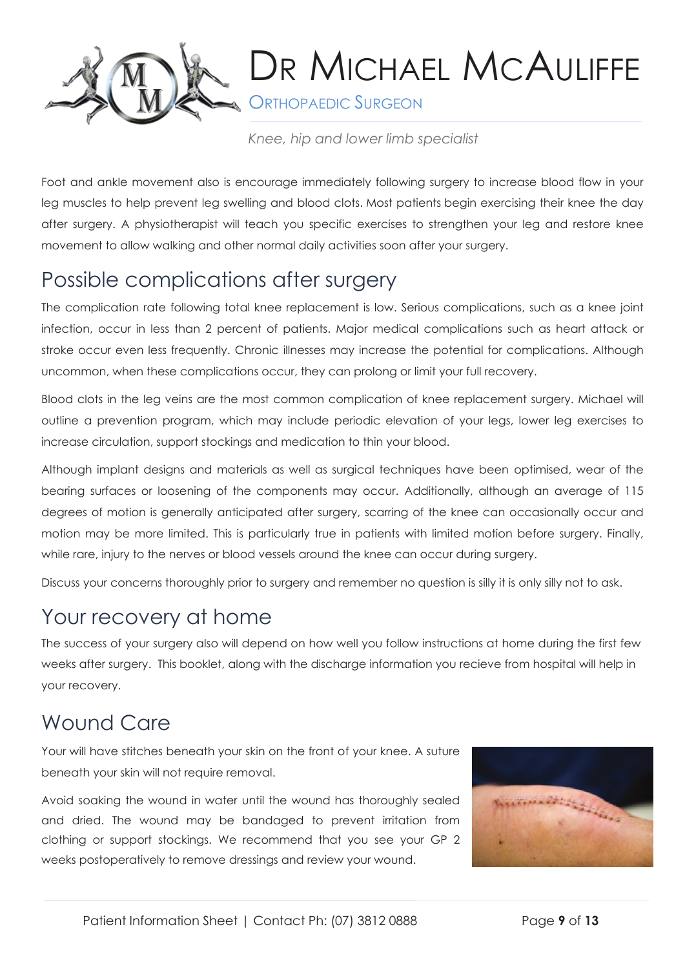

**ORTHOPAEDIC SURGEON** 

*Knee, hip and lower limb specialist*

Foot and ankle movement also is encourage immediately following surgery to increase blood flow in your leg muscles to help prevent leg swelling and blood clots. Most patients begin exercising their knee the day after surgery. A physiotherapist will teach you specific exercises to strengthen your leg and restore knee movement to allow walking and other normal daily activities soon after your surgery.

## Possible complications after surgery

The complication rate following total knee replacement is low. Serious complications, such as a knee joint infection, occur in less than 2 percent of patients. Major medical complications such as heart attack or stroke occur even less frequently. Chronic illnesses may increase the potential for complications. Although uncommon, when these complications occur, they can prolong or limit your full recovery.

Blood clots in the leg veins are the most common complication of knee replacement surgery. Michael will outline a prevention program, which may include periodic elevation of your legs, lower leg exercises to increase circulation, support stockings and medication to thin your blood.

Although implant designs and materials as well as surgical techniques have been optimised, wear of the bearing surfaces or loosening of the components may occur. Additionally, although an average of 115 degrees of motion is generally anticipated after surgery, scarring of the knee can occasionally occur and motion may be more limited. This is particularly true in patients with limited motion before surgery. Finally, while rare, injury to the nerves or blood vessels around the knee can occur during surgery.

Discuss your concerns thoroughly prior to surgery and remember no question is silly it is only silly not to ask.

### Your recovery at home

The success of your surgery also will depend on how well you follow instructions at home during the first few weeks after surgery. This booklet, along with the discharge information you recieve from hospital will help in your recovery.

## Wound Care

Your will have stitches beneath your skin on the front of your knee. A suture beneath your skin will not require removal.

Avoid soaking the wound in water until the wound has thoroughly sealed and dried. The wound may be bandaged to prevent irritation from clothing or support stockings. We recommend that you see your GP 2 weeks postoperatively to remove dressings and review your wound.

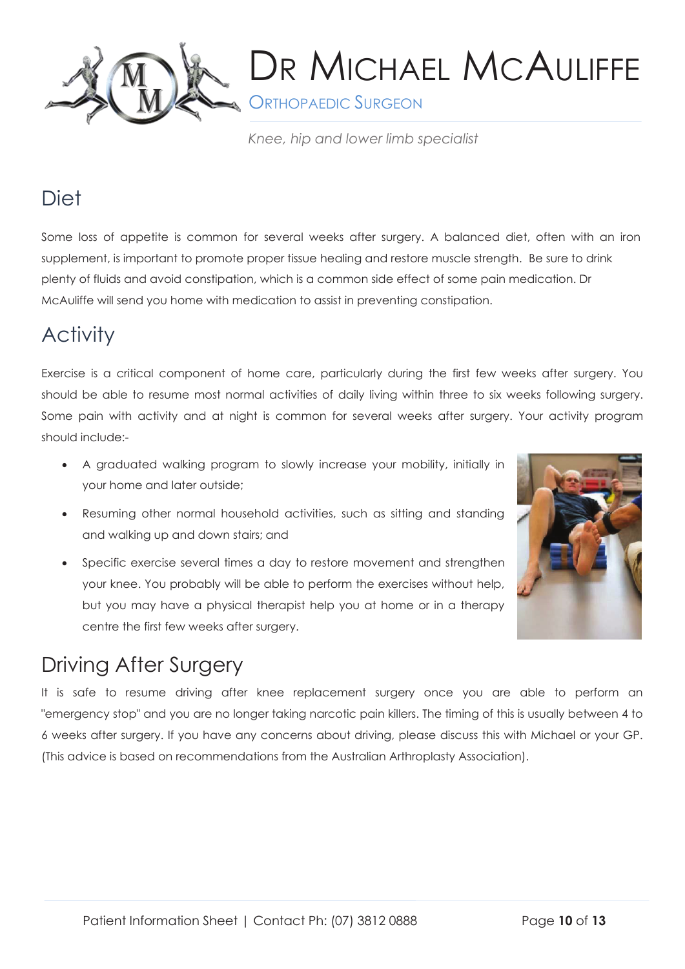

**SORTHOPAEDIC SURGEON** 

*Knee, hip and lower limb specialist*

### **Diet**

Some loss of appetite is common for several weeks after surgery. A balanced diet, often with an iron supplement, is important to promote proper tissue healing and restore muscle strength. Be sure to drink plenty of fluids and avoid constipation, which is a common side effect of some pain medication. Dr McAuliffe will send you home with medication to assist in preventing constipation.

## **Activity**

Exercise is a critical component of home care, particularly during the first few weeks after surgery. You should be able to resume most normal activities of daily living within three to six weeks following surgery. Some pain with activity and at night is common for several weeks after surgery. Your activity program should include:-

- A graduated walking program to slowly increase your mobility, initially in your home and later outside;
- Resuming other normal household activities, such as sitting and standing and walking up and down stairs; and
- Specific exercise several times a day to restore movement and strengthen your knee. You probably will be able to perform the exercises without help, but you may have a physical therapist help you at home or in a therapy centre the first few weeks after surgery.



## Driving After Surgery

It is safe to resume driving after knee replacement surgery once you are able to perform an "emergency stop" and you are no longer taking narcotic pain killers. The timing of this is usually between 4 to 6 weeks after surgery. If you have any concerns about driving, please discuss this with Michael or your GP. (This advice is based on recommendations from the Australian Arthroplasty Association).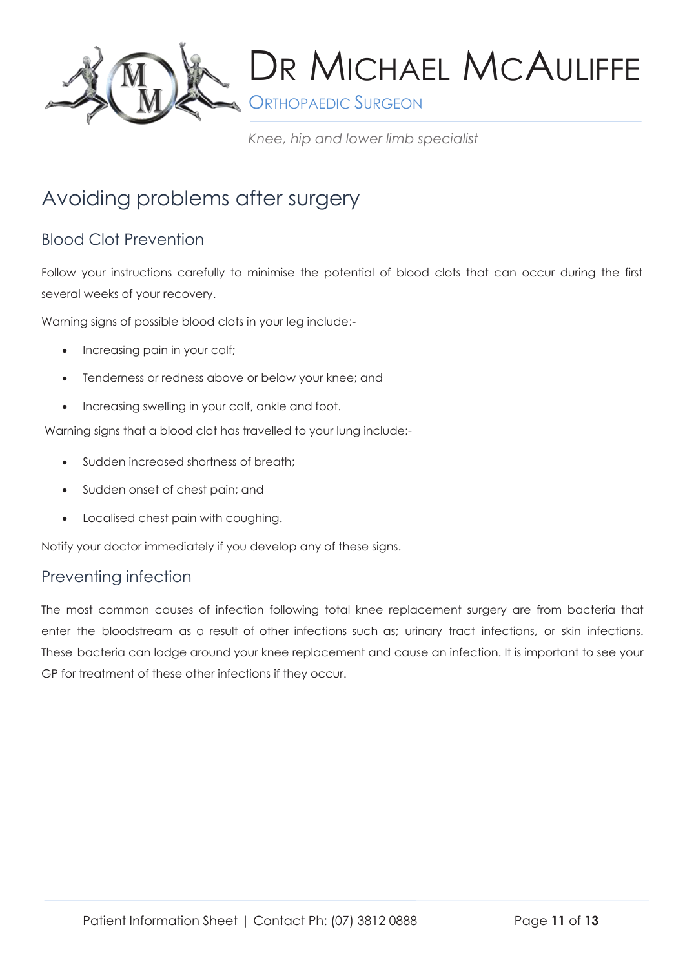

**S** ORTHOPAEDIC SURGEON

*Knee, hip and lower limb specialist*

## Avoiding problems after surgery

### Blood Clot Prevention

Follow your instructions carefully to minimise the potential of blood clots that can occur during the first several weeks of your recovery.

Warning signs of possible blood clots in your leg include:-

- Increasing pain in your calf;
- Tenderness or redness above or below your knee; and
- Increasing swelling in your calf, ankle and foot.

Warning signs that a blood clot has travelled to your lung include:-

- Sudden increased shortness of breath;
- Sudden onset of chest pain; and
- Localised chest pain with coughing.

Notify your doctor immediately if you develop any of these signs.

### Preventing infection

The most common causes of infection following total knee replacement surgery are from bacteria that enter the bloodstream as a result of other infections such as; urinary tract infections, or skin infections. These bacteria can lodge around your knee replacement and cause an infection. It is important to see your GP for treatment of these other infections if they occur.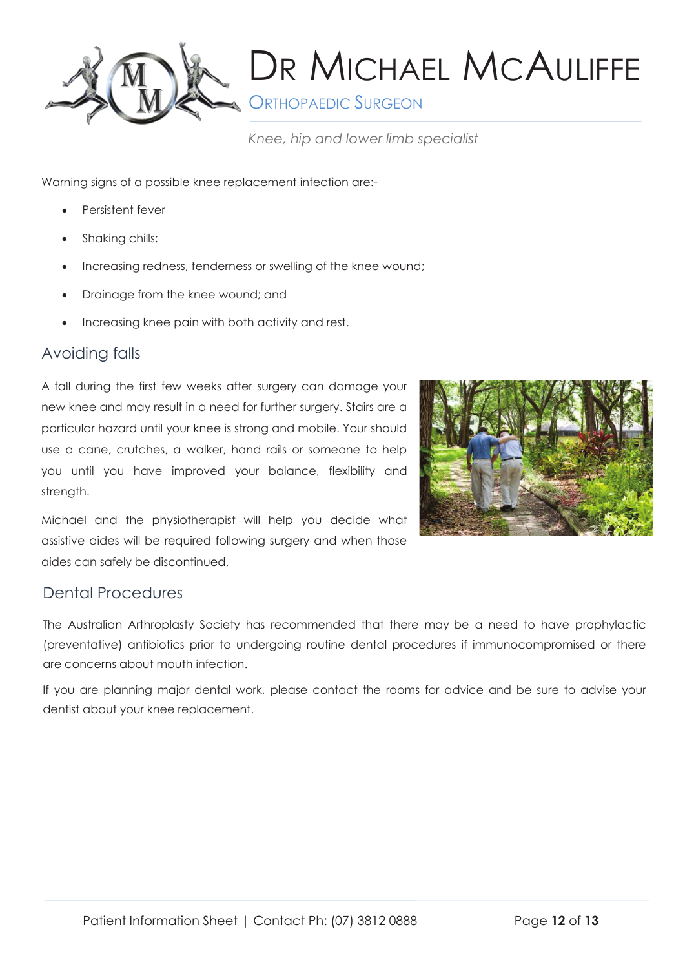

**S** ORTHOPAEDIC SURGEON

*Knee, hip and lower limb specialist*

Warning signs of a possible knee replacement infection are:-

- Persistent fever
- Shaking chills;
- Increasing redness, tenderness or swelling of the knee wound;
- Drainage from the knee wound; and
- Increasing knee pain with both activity and rest.

### Avoiding falls

A fall during the first few weeks after surgery can damage your new knee and may result in a need for further surgery. Stairs are a particular hazard until your knee is strong and mobile. Your should use a cane, crutches, a walker, hand rails or someone to help you until you have improved your balance, flexibility and strength.



Michael and the physiotherapist will help you decide what assistive aides will be required following surgery and when those aides can safely be discontinued.

### Dental Procedures

The Australian Arthroplasty Society has recommended that there may be a need to have prophylactic (preventative) antibiotics prior to undergoing routine dental procedures if immunocompromised or there are concerns about mouth infection.

If you are planning major dental work, please contact the rooms for advice and be sure to advise your dentist about your knee replacement.